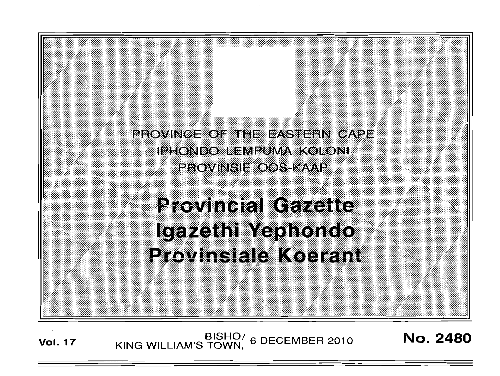PROVINCE OF THE EASTERN CAPE IPHONDO LEMPUMA KOLONI **PROVINSIE OOS KAAP** 

# **Provincial Gazette** Igazethi Yephondo Provinsiale Koerant

BISHO/ 6 DECEMBER 2010<br>KING WILLIAM'S TOWN, 6 DECEMBER 2010 **Vol. 17** 

**No. 2480**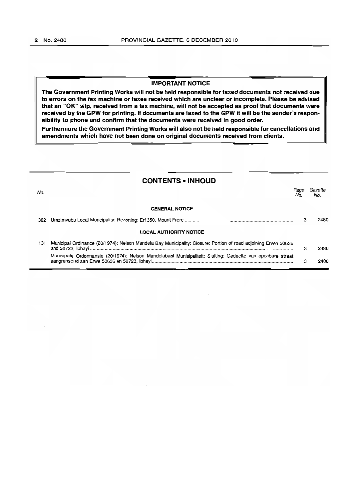## **IMPORTANT NOTICE**

**The Government Printing Works will not be held responsible for faxed documents not received due to errors on the fax machine or faxes received which are unclear or incomplete. Please be advised that an "OK" slip, received from a fax machine, will not be accepted as proof that documents were received by the GPW for printing. If documents are faxed to the GPW it will be the sender's responsibility to phone and confirm that the documents were received in good order.** 

**Furthermore the Government Printing Works will also not be held responsible for cancellations and amendments which have not been done on original documents received from clients.** 

| <b>CONTENTS • INHOUD</b> |                                                                                                                |             |                |
|--------------------------|----------------------------------------------------------------------------------------------------------------|-------------|----------------|
| No.                      |                                                                                                                | Page<br>No. | Gazette<br>No. |
|                          | <b>GENERAL NOTICE</b>                                                                                          |             |                |
| 382                      |                                                                                                                | з           | 2480           |
|                          | <b>LOCAL AUTHORITY NOTICE</b>                                                                                  |             |                |
| 131                      | Municipal Ordinance (20/1974): Nelson Mandela Bay Municipality: Closure: Portion of road adjoining Erven 50636 | з           | 2480           |
|                          | Munisipale Ordonnansie (20/1974): Nelson Mandelabaai Munisipaliteit: Sluiting: Gedeelte van openbare straat    | з           | 2480           |